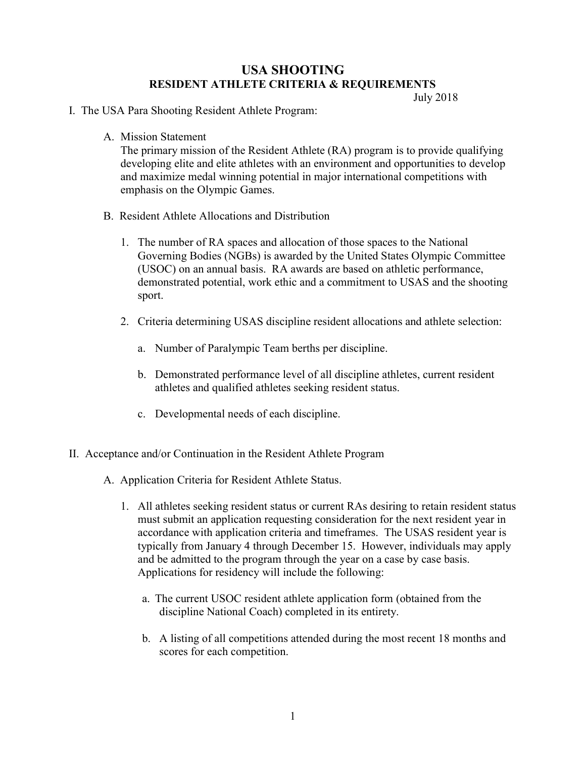## USA SHOOTING RESIDENT ATHLETE CRITERIA & REQUIREMENTS

July 2018

## I. The USA Para Shooting Resident Athlete Program:

A. Mission Statement

The primary mission of the Resident Athlete (RA) program is to provide qualifying developing elite and elite athletes with an environment and opportunities to develop and maximize medal winning potential in major international competitions with emphasis on the Olympic Games.

- B. Resident Athlete Allocations and Distribution
	- 1. The number of RA spaces and allocation of those spaces to the National Governing Bodies (NGBs) is awarded by the United States Olympic Committee (USOC) on an annual basis. RA awards are based on athletic performance, demonstrated potential, work ethic and a commitment to USAS and the shooting sport.
	- 2. Criteria determining USAS discipline resident allocations and athlete selection:
		- a. Number of Paralympic Team berths per discipline.
		- b. Demonstrated performance level of all discipline athletes, current resident athletes and qualified athletes seeking resident status.
		- c. Developmental needs of each discipline.
- II. Acceptance and/or Continuation in the Resident Athlete Program
	- A. Application Criteria for Resident Athlete Status.
		- 1. All athletes seeking resident status or current RAs desiring to retain resident status must submit an application requesting consideration for the next resident year in accordance with application criteria and timeframes. The USAS resident year is typically from January 4 through December 15. However, individuals may apply and be admitted to the program through the year on a case by case basis. Applications for residency will include the following:
			- a. The current USOC resident athlete application form (obtained from the discipline National Coach) completed in its entirety.
			- b. A listing of all competitions attended during the most recent 18 months and scores for each competition.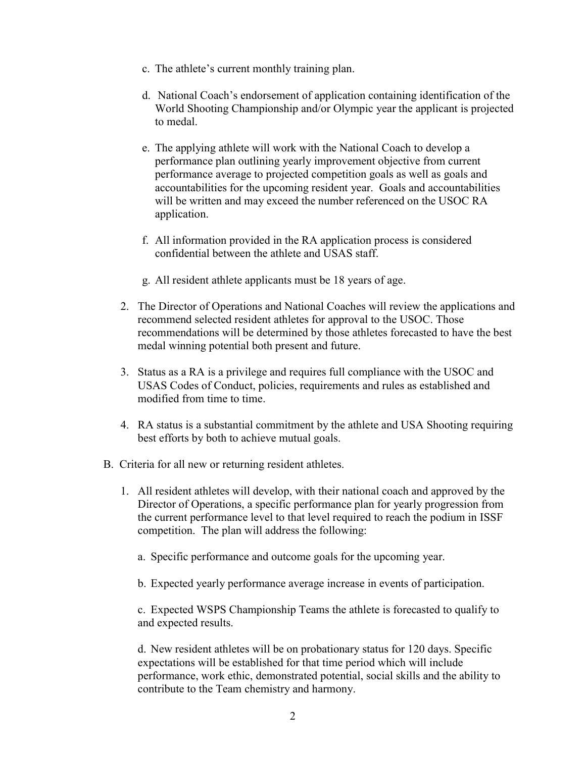- c. The athlete's current monthly training plan.
- d. National Coach's endorsement of application containing identification of the World Shooting Championship and/or Olympic year the applicant is projected to medal.
- e. The applying athlete will work with the National Coach to develop a performance plan outlining yearly improvement objective from current performance average to projected competition goals as well as goals and accountabilities for the upcoming resident year. Goals and accountabilities will be written and may exceed the number referenced on the USOC RA application.
- f. All information provided in the RA application process is considered confidential between the athlete and USAS staff.
- g. All resident athlete applicants must be 18 years of age.
- 2. The Director of Operations and National Coaches will review the applications and recommend selected resident athletes for approval to the USOC. Those recommendations will be determined by those athletes forecasted to have the best medal winning potential both present and future.
- 3. Status as a RA is a privilege and requires full compliance with the USOC and USAS Codes of Conduct, policies, requirements and rules as established and modified from time to time.
- 4. RA status is a substantial commitment by the athlete and USA Shooting requiring best efforts by both to achieve mutual goals.
- B. Criteria for all new or returning resident athletes.
	- 1. All resident athletes will develop, with their national coach and approved by the Director of Operations, a specific performance plan for yearly progression from the current performance level to that level required to reach the podium in ISSF competition. The plan will address the following:
		- a. Specific performance and outcome goals for the upcoming year.
		- b. Expected yearly performance average increase in events of participation.

c. Expected WSPS Championship Teams the athlete is forecasted to qualify to and expected results.

d. New resident athletes will be on probationary status for 120 days. Specific expectations will be established for that time period which will include performance, work ethic, demonstrated potential, social skills and the ability to contribute to the Team chemistry and harmony.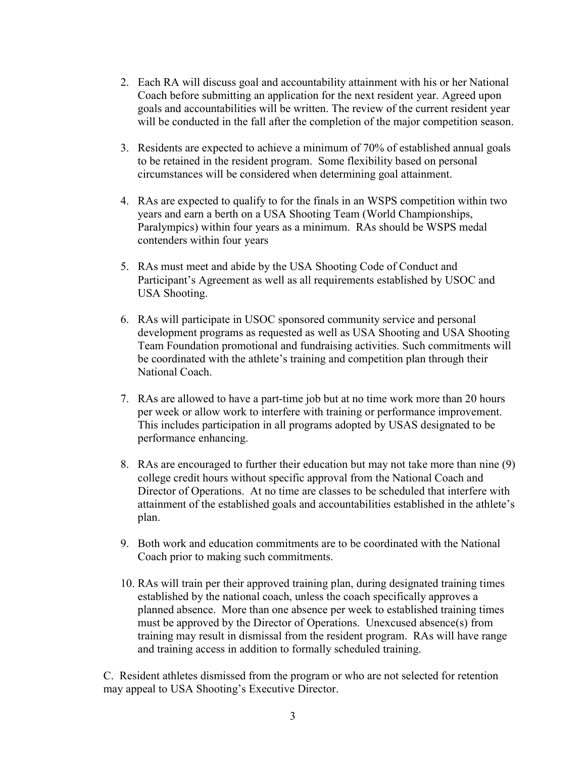- 2. Each RA will discuss goal and accountability attainment with his or her National Coach before submitting an application for the next resident year. Agreed upon goals and accountabilities will be written. The review of the current resident year will be conducted in the fall after the completion of the major competition season.
- 3. Residents are expected to achieve a minimum of 70% of established annual goals to be retained in the resident program. Some flexibility based on personal circumstances will be considered when determining goal attainment.
- 4. RAs are expected to qualify to for the finals in an WSPS competition within two years and earn a berth on a USA Shooting Team (World Championships, Paralympics) within four years as a minimum. RAs should be WSPS medal contenders within four years
- 5. RAs must meet and abide by the USA Shooting Code of Conduct and Participant's Agreement as well as all requirements established by USOC and USA Shooting.
- 6. RAs will participate in USOC sponsored community service and personal development programs as requested as well as USA Shooting and USA Shooting Team Foundation promotional and fundraising activities. Such commitments will be coordinated with the athlete's training and competition plan through their National Coach.
- 7. RAs are allowed to have a part-time job but at no time work more than 20 hours per week or allow work to interfere with training or performance improvement. This includes participation in all programs adopted by USAS designated to be performance enhancing.
- 8. RAs are encouraged to further their education but may not take more than nine (9) college credit hours without specific approval from the National Coach and Director of Operations. At no time are classes to be scheduled that interfere with attainment of the established goals and accountabilities established in the athlete's plan.
- 9. Both work and education commitments are to be coordinated with the National Coach prior to making such commitments.
- 10. RAs will train per their approved training plan, during designated training times established by the national coach, unless the coach specifically approves a planned absence. More than one absence per week to established training times must be approved by the Director of Operations. Unexcused absence(s) from training may result in dismissal from the resident program. RAs will have range and training access in addition to formally scheduled training.

C. Resident athletes dismissed from the program or who are not selected for retention may appeal to USA Shooting's Executive Director.